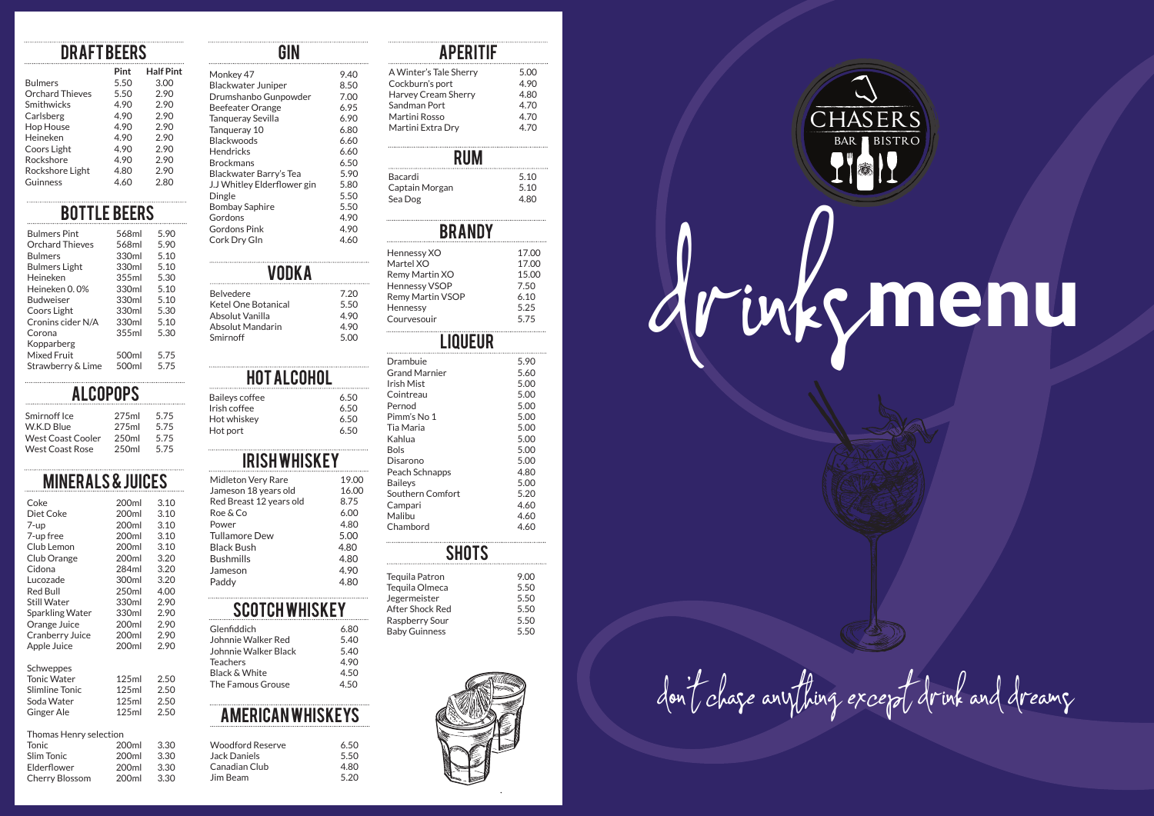#### **DRAFT BEERS**

|                        | Pint | <b>Half Pint</b> |
|------------------------|------|------------------|
| <b>Bulmers</b>         | 5.50 | 3.00             |
| <b>Orchard Thieves</b> | 5.50 | 2.90             |
| Smithwicks             | 4.90 | 2.90             |
| Carlsberg              | 4.90 | 2.90             |
| <b>Hop House</b>       | 4.90 | 2.90             |
| Heineken               | 490  | 290              |
| Coors Light            | 4.90 | 2.90             |
| Rockshore              | 4.90 | 2.90             |
| Rockshore Light        | 4.80 | 2.90             |
| Guinness               | 4.60 | 2.80             |
|                        |      |                  |

## BOTTLE Beers

| <b>Bulmers Pint</b>    | 568ml | 590  |
|------------------------|-------|------|
| <b>Orchard Thieves</b> | 568ml | 5.90 |
| <b>Bulmers</b>         | 330ml | 5.10 |
| <b>Bulmers Light</b>   | 330ml | 5.10 |
| Heineken               | 355ml | 5.30 |
| Heineken 0.0%          | 330ml | 5.10 |
| <b>Budweiser</b>       | 330ml | 5.10 |
| Coors Light            | 330ml | 5.30 |
| Cronins cider N/A      | 330ml | 5.10 |
| Corona                 | 355ml | 5.30 |
| Kopparberg             |       |      |
| <b>Mixed Fruit</b>     | 500ml | 5.75 |
| Strawberry & Lime      | 500ml | 5.75 |
|                        |       |      |

#### **ALCOPOPS**

| Smirnoff Ice           | 275ml             | 575  |
|------------------------|-------------------|------|
| W.K.D Blue             | 275ml             | 5.75 |
| West Coast Cooler      | 250 <sub>ml</sub> | 575  |
| <b>West Coast Rose</b> | 250 <sub>ml</sub> | 575  |
|                        |                   |      |

#### Minerals & Juices

| Coke               | 200ml | 3.10 |
|--------------------|-------|------|
| Diet Coke          | 200ml | 3.10 |
| 7-up               | 200ml | 3.10 |
| 7-up free          | 200ml | 3.10 |
| Club Lemon         | 200ml | 3.10 |
| Club Orange        | 200ml | 3.20 |
| Cidona             | 284ml | 3.20 |
| Lucozade           | 300ml | 3.20 |
| <b>Red Bull</b>    | 250ml | 4.00 |
| <b>Still Water</b> | 330ml | 2.90 |
| Sparkling Water    | 330ml | 2.90 |
| Orange Juice       | 200ml | 2.90 |
| Cranberry Juice    | 200ml | 2.90 |
| Apple Juice        | 200ml | 2.90 |
| Schweppes          |       |      |
| <b>Tonic Water</b> | 125ml | 2.50 |
| Slimline Tonic     | 125ml | 2.50 |
| Soda Water         | 125ml | 25 Q |

| Slimline Tonic | 125ml | 2.50 |
|----------------|-------|------|
| Soda Water     | 125ml | 2.50 |
| Ginger Ale     | 125ml | 2.50 |
|                |       |      |

#### Thomas Henry selection

| <b>Tonic</b>   | 200 <sub>ml</sub> | 3.30 |
|----------------|-------------------|------|
| Slim Tonic     | 200ml             | 3.30 |
| Elderflower    | 200 <sub>ml</sub> | 3.30 |
| Cherry Blossom | 200 <sub>ml</sub> | 3.30 |

#### $\overline{GM}$

| Monkey 47                   | 9.40 |
|-----------------------------|------|
| Blackwater Juniper          | 8.50 |
| Drumshanbo Gunpowder        | 7.00 |
| Beefeater Orange            | 6.95 |
| Tangueray Sevilla           | 6.90 |
| Tangueray 10                | 6.80 |
| <b>Blackwoods</b>           | 6.60 |
| Hendricks                   | 6.60 |
| <b>Brockmans</b>            | 6.50 |
| Blackwater Barry's Tea      | 5.90 |
| J.J Whitley Elderflower gin | 5.80 |
| Dingle                      | 5.50 |
| <b>Bombay Saphire</b>       | 5.50 |
| Gordons                     | 4.90 |
| <b>Gordons Pink</b>         | 4.90 |
| Cork Dry GIn                | 4.60 |

#### **VODKA**

| <b>Belvedere</b>    | 7.20  |
|---------------------|-------|
| Ketel One Botanical | 5.50  |
| Absolut Vanilla     | 4 9 0 |
| Absolut Mandarin    | 4 9 0 |
| Smirnoff            | 5.00  |
|                     |       |

#### Hot Alcohol

 $6.50$  $6.50$  $6.50$  $6.50$ 

| <b>Baileys coffee</b><br>Irish coffee |  |
|---------------------------------------|--|
| Hot whiskey                           |  |
| Hot port                              |  |

#### **IRISHWHISKEY**

| Midleton Very Rare      | 19.00 |
|-------------------------|-------|
| Jameson 18 years old    | 16.00 |
| Red Breast 12 years old | 8.75  |
| Roe & Co                | 6.00  |
| Power                   | 4.80  |
| <b>Tullamore Dew</b>    | 5.00  |
| <b>Black Bush</b>       | 4.80  |
| <b>Bushmills</b>        | 4.80  |
| Jameson                 | 4.90  |
| Paddy                   | 4.80  |
|                         |       |

#### **SCOTCH WHISKEY**

| Glenfiddich          | 6.80 |
|----------------------|------|
| Johnnie Walker Red   | 5.40 |
| Johnnie Walker Black | 5.40 |
| Teachers             | 4.90 |
| Black & White        | 4.50 |
| The Famous Grouse    | 4.50 |
|                      |      |

### American Whiskeys

| Woodford Reserve | 650  |
|------------------|------|
| Jack Daniels     | 550  |
| Canadian Club    | 480  |
| Jim Beam         | 5.20 |
|                  |      |

# **APERITIF**

| A Winter's Tale Sherry | 5.00 |
|------------------------|------|
| Cockburn's port        | 4.90 |
| Harvey Cream Sherry    | 4.80 |
| Sandman Port           | 4.70 |
| Martini Rosso          | 4.70 |
| Martini Extra Drv      | 4.70 |
|                        |      |

| RUM            |      |
|----------------|------|
| Bacardi        | 5.10 |
| Captain Morgan | 5.10 |
| Sea Dog        | 480  |

#### **BRANDY**

| Hennessy XO             | 17.00 |
|-------------------------|-------|
| Martel XO               | 17.00 |
| Remy Martin XO          | 15.00 |
| <b>Hennessy VSOP</b>    | 7.50  |
| <b>Remy Martin VSOP</b> | 6.10  |
| Hennessy                | 5.25  |
| Courvesouir             | 5.75  |
|                         |       |

#### **LIQUEUR**

| Drambuie             | 5.90 |
|----------------------|------|
| <b>Grand Marnier</b> | 5.60 |
| Irish Mist           | 5.00 |
| Cointreau            | 5.00 |
| Pernod               | 5.00 |
| Pimm's No 1          | 5.00 |
| Tia Maria            | 5.00 |
| Kahlua               | 5.00 |
| <b>Bols</b>          | 5.00 |
| Disarono             | 5.00 |
| Peach Schnapps       | 4.80 |
| <b>Bailevs</b>       | 5.00 |
| Southern Comfort     | 5.20 |
| Campari              | 4.60 |
| Malibu               | 4.60 |
| Chambord             | 4.60 |
|                      |      |

| <b>SHOTS</b>                      |              |
|-----------------------------------|--------------|
| Tequila Patron<br>Tequila Olmeca  | 9.00<br>5.50 |
| Jegermeister                      | 5.50         |
| After Shock Red<br>Raspberry Sour | 5.50<br>5.50 |
| <b>Baby Guinness</b>              | 5.50         |





# drinksmenu

# don't chase anything except drink and dreams